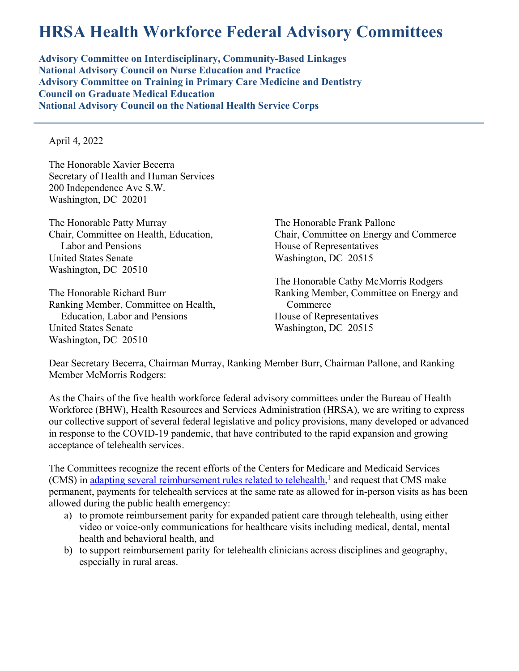## **HRSA Health Workforce Federal Advisory Committees**

**Advisory Committee on Interdisciplinary, Community-Based Linkages National Advisory Council on Nurse Education and Practice Advisory Committee on Training in Primary Care Medicine and Dentistry Council on Graduate Medical Education National Advisory Council on the National Health Service Corps**

April 4, 2022

The Honorable Xavier Becerra Secretary of Health and Human Services 200 Independence Ave S.W. Washington, DC 20201

The Honorable Patty Murray Chair, Committee on Health, Education, Labor and Pensions United States Senate Washington, DC 20510

The Honorable Richard Burr Ranking Member, Committee on Health, Education, Labor and Pensions United States Senate Washington, DC 20510

The Honorable Frank Pallone Chair, Committee on Energy and Commerce House of Representatives Washington, DC 20515

The Honorable Cathy McMorris Rodgers Ranking Member, Committee on Energy and Commerce House of Representatives Washington, DC 20515

Dear Secretary Becerra, Chairman Murray, Ranking Member Burr, Chairman Pallone, and Ranking Member McMorris Rodgers:

As the Chairs of the five health workforce federal advisory committees under the Bureau of Health Workforce (BHW), Health Resources and Services Administration (HRSA), we are writing to express our collective support of several federal legislative and policy provisions, many developed or advanced in response to the COVID-19 pandemic, that have contributed to the rapid expansion and growing acceptance of telehealth services.

The Committees recognize the recent efforts of the Centers for Medicare and Medicaid Services (CMS) in [adapting several reimbursement rules related to telehealth,](https://www.cms.gov/newsroom/fact-sheets/calendar-year-cy-2022-medicare-physician-fee-schedule-final-rule)<sup>1</sup> and request that CMS make permanent, payments for telehealth services at the same rate as allowed for in-person visits as has been allowed during the public health emergency:

- a) to promote reimbursement parity for expanded patient care through telehealth, using either video or voice-only communications for healthcare visits including medical, dental, mental health and behavioral health, and
- b) to support reimbursement parity for telehealth clinicians across disciplines and geography, especially in rural areas.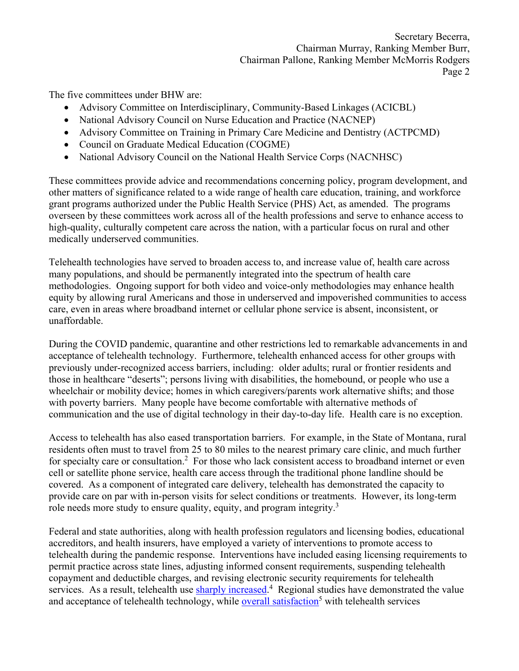The five committees under BHW are:

- Advisory Committee on Interdisciplinary, Community-Based Linkages (ACICBL)
- National Advisory Council on Nurse Education and Practice (NACNEP)
- Advisory Committee on Training in Primary Care Medicine and Dentistry (ACTPCMD)
- Council on Graduate Medical Education (COGME)
- National Advisory Council on the National Health Service Corps (NACNHSC)

These committees provide advice and recommendations concerning policy, program development, and other matters of significance related to a wide range of health care education, training, and workforce grant programs authorized under the Public Health Service (PHS) Act, as amended. The programs overseen by these committees work across all of the health professions and serve to enhance access to high-quality, culturally competent care across the nation, with a particular focus on rural and other medically underserved communities.

Telehealth technologies have served to broaden access to, and increase value of, health care across many populations, and should be permanently integrated into the spectrum of health care methodologies. Ongoing support for both video and voice-only methodologies may enhance health equity by allowing rural Americans and those in underserved and impoverished communities to access care, even in areas where broadband internet or cellular phone service is absent, inconsistent, or unaffordable.

During the COVID pandemic, quarantine and other restrictions led to remarkable advancements in and acceptance of telehealth technology. Furthermore, telehealth enhanced access for other groups with previously under-recognized access barriers, including: older adults; rural or frontier residents and those in healthcare "deserts"; persons living with disabilities, the homebound, or people who use a wheelchair or mobility device; homes in which caregivers/parents work alternative shifts; and those with poverty barriers. Many people have become comfortable with alternative methods of communication and the use of digital technology in their day-to-day life. Health care is no exception.

Access to telehealth has also eased transportation barriers. For example, in the State of Montana, rural residents often must to travel from 25 to 80 miles to the nearest primary care clinic, and much further for specialty care or consultation.<sup>2</sup> For those who lack consistent access to broadband internet or even cell or satellite phone service, health care access through the traditional phone landline should be covered. As a component of integrated care delivery, telehealth has demonstrated the capacity to provide care on par with in-person visits for select conditions or treatments. However, its long-term role needs more study to ensure quality, equity, and program integrity.<sup>3</sup>

Federal and state authorities, along with health profession regulators and licensing bodies, educational accreditors, and health insurers, have employed a variety of interventions to promote access to telehealth during the pandemic response. Interventions have included easing licensing requirements to permit practice across state lines, adjusting informed consent requirements, suspending telehealth copayment and deductible charges, and revising electronic security requirements for telehealth services. As a result, telehealth use [sharply increased.](http://dx.doi.org/10.15585/mmwr.mm6943a3)<sup>4</sup> Regional studies have demonstrated the value and acceptance of telehealth technology, while [overall satisfaction](https://www.ncbi.nlm.nih.gov/pmc/articles/PMC7564757/)<sup>5</sup> with telehealth services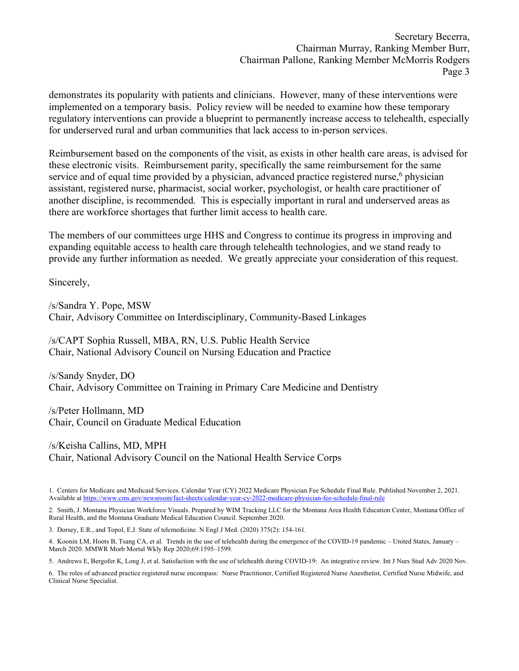Secretary Becerra, Chairman Murray, Ranking Member Burr, Chairman Pallone, Ranking Member McMorris Rodgers Page 3

demonstrates its popularity with patients and clinicians. However, many of these interventions were implemented on a temporary basis. Policy review will be needed to examine how these temporary regulatory interventions can provide a blueprint to permanently increase access to telehealth, especially for underserved rural and urban communities that lack access to in-person services.

Reimbursement based on the components of the visit, as exists in other health care areas, is advised for these electronic visits. Reimbursement parity, specifically the same reimbursement for the same service and of equal time provided by a physician, advanced practice registered nurse,<sup>6</sup> physician assistant, registered nurse, pharmacist, social worker, psychologist, or health care practitioner of another discipline, is recommended. This is especially important in rural and underserved areas as there are workforce shortages that further limit access to health care.

The members of our committees urge HHS and Congress to continue its progress in improving and expanding equitable access to health care through telehealth technologies, and we stand ready to provide any further information as needed. We greatly appreciate your consideration of this request.

Sincerely,

/s/Sandra Y. Pope, MSW Chair, Advisory Committee on Interdisciplinary, Community-Based Linkages

/s/CAPT Sophia Russell, MBA, RN, U.S. Public Health Service Chair, National Advisory Council on Nursing Education and Practice

/s/Sandy Snyder, DO Chair, Advisory Committee on Training in Primary Care Medicine and Dentistry

/s/Peter Hollmann, MD Chair, Council on Graduate Medical Education

/s/Keisha Callins, MD, MPH Chair, National Advisory Council on the National Health Service Corps

1. Centers for Medicare and Medicaid Services. Calendar Year (CY) 2022 Medicare Physician Fee Schedule Final Rule. Published November 2, 2021. Available a[t https://www.cms.gov/newsroom/fact-sheets/calendar-year-cy-2022-medicare-physician-fee-schedule-final-rule](https://www.cms.gov/newsroom/fact-sheets/calendar-year-cy-2022-medicare-physician-fee-schedule-final-rule)

2. Smith, J. Montana Physician Workforce Visuals. Prepared by WIM Tracking LLC for the Montana Area Health Education Center, Montana Office of Rural Health, and the Montana Graduate Medical Education Council. September 2020.

3. Dorsey, E.R., and Topol, E.J. State of telemedicine. N Engl J Med. (2020) 375(2): 154-161.

4. Koonin LM, Hoots B, Tsang CA, et al. Trends in the use of telehealth during the emergence of the COVID-19 pandemic – United States, January – March 2020. MMWR Morb Mortal Wkly Rep 2020;69:1595–1599.

5. Andrews E, Bergofer K, Long J, et al. Satisfaction with the use of telehealth during COVID-19: An integrative review. Int J Nurs Stud Adv 2020 Nov.

6. The roles of advanced practice registered nurse encompass: Nurse Practitioner, Certified Registered Nurse Anesthetist, Certified Nurse Midwife, and Clinical Nurse Specialist.